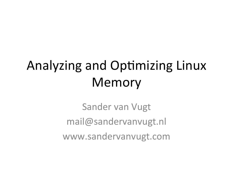## Analyzing and Optimizing Linux Memory

Sander van Vugt mail@sandervanvugt.nl www.sandervanvugt.com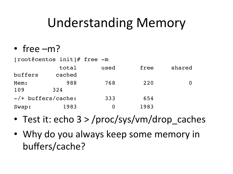### Understanding Memory

• free  $-m$ ?

[root@centos init]# free -m

|                       | total  | used | free | shared |
|-----------------------|--------|------|------|--------|
| buffers               | cached |      |      |        |
| Mem:                  | 988    | 768  | 220  |        |
| 109                   | 324    |      |      |        |
| $-$ /+ buffers/cache: |        | 333  | 654  |        |
| Swap:                 | 1983   |      | 1983 |        |

- Test it: echo  $3$  > /proc/sys/vm/drop caches
- Why do you always keep some memory in buffers/cache?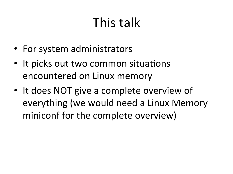# This talk

- For system administrators
- It picks out two common situations encountered on Linux memory
- It does NOT give a complete overview of everything (we would need a Linux Memory miniconf for the complete overview)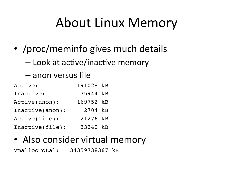## About Linux Memory

- /proc/meminfo gives much details
	- $-$  Look at active/inactive memory
	- anon versus file

| Active:         | 191028 kB |  |
|-----------------|-----------|--|
| Inactive:       | 35944 kB  |  |
| Active(anon):   | 169752 kB |  |
| Inactive(anon): | 2704 kB   |  |
| Active(file):   | 21276 kB  |  |
| Inactive(file): | 33240 kB  |  |

#### • Also consider virtual memory

VmallocTotal: 34359738367 kB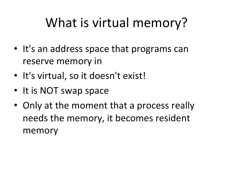## What is virtual memory?

- It's an address space that programs can reserve memory in
- It's virtual, so it doesn't exist!
- It is NOT swap space
- Only at the moment that a process really needs the memory, it becomes resident memory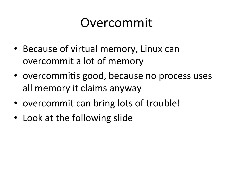### Overcommit

- Because of virtual memory, Linux can overcommit a lot of memory
- overcommitis good, because no process uses all memory it claims anyway
- overcommit can bring lots of trouble!
- Look at the following slide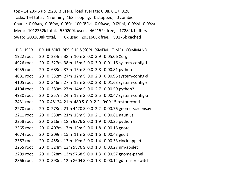top - 14:23:46 up 2:28, 3 users, load average: 0.08, 0.17, 0.28 Tasks: 164 total, 1 running, 163 sleeping, 0 stopped, 0 zombie Cpu(s): 0.0%us, 0.0%sy, 0.0%ni,100.0%id, 0.0%wa, 0.0%hi, 0.0%si, 0.0%st Mem: 1012352k total, 550200k used, 462152k free, 17284k buffers Swap: 2031608k total, Ok used, 2031608k free, 99176k cached

- PID USER PR NI VIRT RES SHR S %CPU %MEM TIME+ COMMAND
- 1922 root 20 0 234m 38m 10m S 0.0 3.9 0:05.06 Xorg
- 4926 root 20 0 527m 38m 13m S 0.0 3.9 0:01.16 system-config-f
- 4935 root 20 0 683m 37m 16m S 0.0 3.8 0:00.81 python
- 4081 root 20 0 332m 27m 12m S 0.0 2.8 0:00.95 system-config-d
- 4105 root 20 0 346m 27m 12m S 0.0 2.8 0:01.63 system-config-s
- 4104 root 20 0 389m 27m 14m S 0.0 2.7 0:00.59 python2
- 4930 root 20 0 357m 24m 12m S 0.0 2.5 0:00.47 system-config-a
- 2431 root 20 0 48124 21m 480 S 0.0 2.2 0:00.15 restorecond
- 2270 root 20 0 273m 21m 4420 S 0.0 2.2 0:00.76 gnome-screensav
- 2211 root 20 0 533m 21m 13m S 0.0 2.1 0:00.81 nautilus
- 2258 root 20 0 316m 18m 9276 S 0.0 1.9 0:00.25 python
- 2365 root 20 0 407m 17m 13m S 0.0 1.8 0:00.15 gnote
- 4074 root 20 0 309m 15m 11m S 0.0 1.6 0:00.43 gedit
- 2367 root 20 0 455m 13m 10m S 0.0 1.4 0:00.33 clock-applet
- 2255 root 20 0 324m 13m 9876 S 0.0 1.3 0:00.27 nm-applet
- 2209 root 20 0 328m 13m 9768 S 0.0 1.3 0:00.57 gnome-panel
- 2366 root 20 0 390m 12m 8604 S 0.0 1.3 0:00.12 gdm-user-switch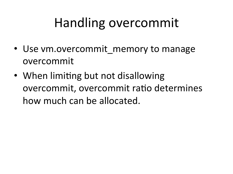## Handling overcommit

- Use vm.overcommit memory to manage overcommit
- When limiting but not disallowing overcommit, overcommit ratio determines how much can be allocated.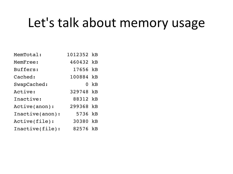## Let's talk about memory usage

| MemTotal:       | 1012352 kB |          |
|-----------------|------------|----------|
| MemFree:        | 460432 kB  |          |
| Buffers:        | 17656 kB   |          |
| Cached:         | 100884 kB  |          |
| SwapCached:     |            | $0$ $kB$ |
| Active:         | 329748 kB  |          |
| Inactive:       | 88312 kB   |          |
| Active(anon):   | 299368 kB  |          |
| Inactive(anon): | 5736 kB    |          |
| Active(file):   | 30380 kB   |          |
| Inactive(file): | 82576 kB   |          |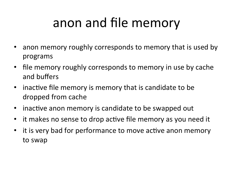## anon and file memory

- anon memory roughly corresponds to memory that is used by programs
- file memory roughly corresponds to memory in use by cache and buffers
- inactive file memory is memory that is candidate to be dropped from cache
- inactive anon memory is candidate to be swapped out
- it makes no sense to drop active file memory as you need it
- it is very bad for performance to move active anon memory to swap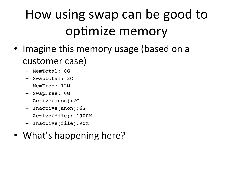## How using swap can be good to optimize memory

- Imagine this memory usage (based on a customer case)
	- MemTotal: 8G
	- Swaptotal: 2G
	- MemFree: 12M
	- SwapFree: 0G
	- Active(anon):2G
	- Inactive(anon):6G
	- Active(file): 1900M
	- Inactive(file):90M

#### • What's happening here?